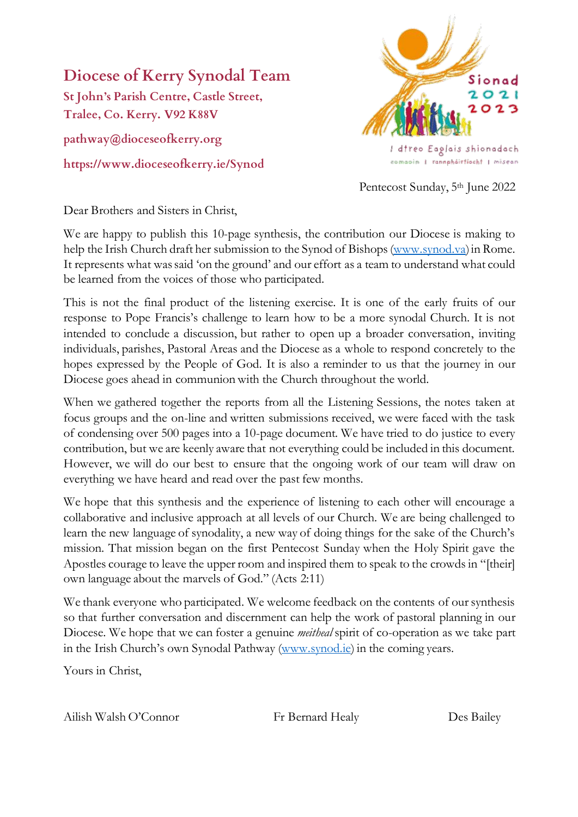## **Diocese of Kerry Synodal Team**

**St John's Parish Centre, Castle Street, Tralee, Co. Kerry. V92 K88V pathway@dioceseofkerry.org**

**https://www.dioceseofkerry.ie/Synod**



Pentecost Sunday, 5<sup>th</sup> June 2022

Dear Brothers and Sisters in Christ,

We are happy to publish this 10-page synthesis, the contribution our Diocese is making to help the Irish Church draft her submission to the Synod of Bishops [\(www.synod.va\)](http://www.synod.va/) in Rome. It represents what was said 'on the ground' and our effort as a team to understand what could be learned from the voices of those who participated.

This is not the final product of the listening exercise. It is one of the early fruits of our response to Pope Francis's challenge to learn how to be a more synodal Church. It is not intended to conclude a discussion, but rather to open up a broader conversation, inviting individuals, parishes, Pastoral Areas and the Diocese as a whole to respond concretely to the hopes expressed by the People of God. It is also a reminder to us that the journey in our Diocese goes ahead in communion with the Church throughout the world.

When we gathered together the reports from all the Listening Sessions, the notes taken at focus groups and the on-line and written submissions received, we were faced with the task of condensing over 500 pages into a 10-page document. We have tried to do justice to every contribution, but we are keenly aware that not everything could be included in this document. However, we will do our best to ensure that the ongoing work of our team will draw on everything we have heard and read over the past few months.

We hope that this synthesis and the experience of listening to each other will encourage a collaborative and inclusive approach at all levels of our Church. We are being challenged to learn the new language of synodality, a new way of doing things for the sake of the Church's mission. That mission began on the first Pentecost Sunday when the Holy Spirit gave the Apostles courage to leave the upper room and inspired them to speak to the crowds in "[their] own language about the marvels of God." (Acts 2:11)

We thank everyone who participated. We welcome feedback on the contents of our synthesis so that further conversation and discernment can help the work of pastoral planning in our Diocese. We hope that we can foster a genuine *meitheal* spirit of co-operation as we take part in the Irish Church's own Synodal Pathway [\(www.synod.ie\)](http://www.synod.ie/) in the coming years.

Yours in Christ,

Ailish Walsh O'Connor Fr Bernard Healy Des Bailey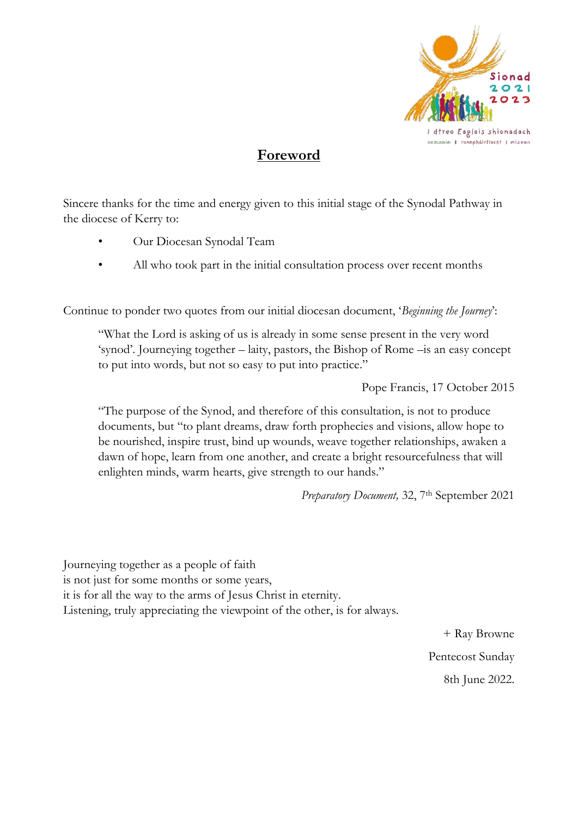

### **Foreword**

Sincere thanks for the time and energy given to this initial stage of the Synodal Pathway in the diocese of Kerry to:

- Our Diocesan Synodal Team
- All who took part in the initial consultation process over recent months

Continue to ponder two quotes from our initial diocesan document, '*Beginning the Journey*':

"What the Lord is asking of us is already in some sense present in the very word 'synod'. Journeying together – laity, pastors, the Bishop of Rome –is an easy concept to put into words, but not so easy to put into practice."

Pope Francis, 17 October 2015

"The purpose of the Synod, and therefore of this consultation, is not to produce documents, but "to plant dreams, draw forth prophecies and visions, allow hope to be nourished, inspire trust, bind up wounds, weave together relationships, awaken a dawn of hope, learn from one another, and create a bright resourcefulness that will enlighten minds, warm hearts, give strength to our hands."

Preparatory Document, 32, 7<sup>th</sup> September 2021

Journeying together as a people of faith is not just for some months or some years, it is for all the way to the arms of Jesus Christ in eternity. Listening, truly appreciating the viewpoint of the other, is for always.

> + Ray Browne Pentecost Sunday 8th June 2022.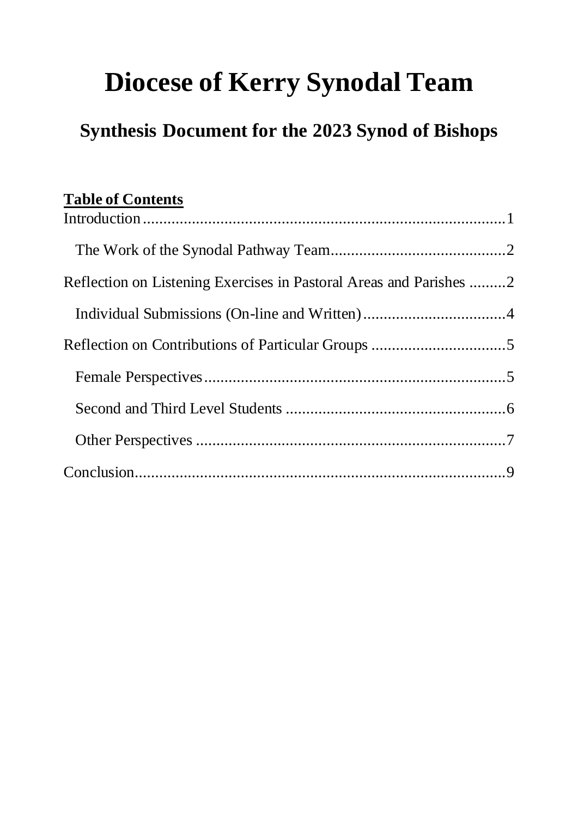# **Diocese of Kerry Synodal Team**

## **Synthesis Document for the 2023 Synod of Bishops**

## **Table of Contents**

| Reflection on Listening Exercises in Pastoral Areas and Parishes 2 |  |
|--------------------------------------------------------------------|--|
|                                                                    |  |
|                                                                    |  |
|                                                                    |  |
|                                                                    |  |
|                                                                    |  |
|                                                                    |  |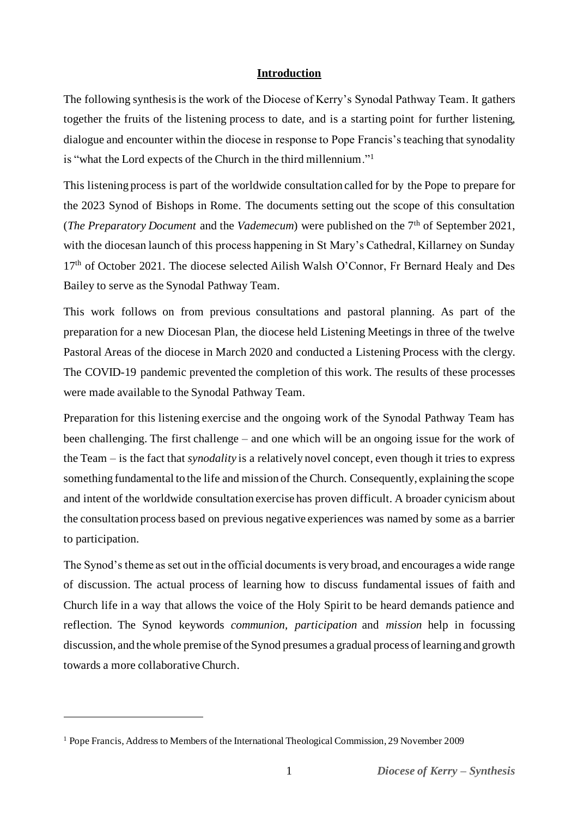#### **Introduction**

<span id="page-3-0"></span>The following synthesis is the work of the Diocese of Kerry's Synodal Pathway Team. It gathers together the fruits of the listening process to date, and is a starting point for further listening, dialogue and encounter within the diocese in response to Pope Francis's teaching that synodality is "what the Lord expects of the Church in the third millennium."<sup>1</sup>

This listening process is part of the worldwide consultation called for by the Pope to prepare for the 2023 Synod of Bishops in Rome. The documents setting out the scope of this consultation (*The Preparatory Document* and the *Vademecum*) were published on the 7<sup>th</sup> of September 2021, with the diocesan launch of this process happening in St Mary's Cathedral, Killarney on Sunday 17<sup>th</sup> of October 2021. The diocese selected Ailish Walsh O'Connor, Fr Bernard Healy and Des Bailey to serve as the Synodal Pathway Team.

This work follows on from previous consultations and pastoral planning. As part of the preparation for a new Diocesan Plan, the diocese held Listening Meetings in three of the twelve Pastoral Areas of the diocese in March 2020 and conducted a Listening Process with the clergy. The COVID-19 pandemic prevented the completion of this work. The results of these processes were made available to the Synodal Pathway Team.

Preparation for this listening exercise and the ongoing work of the Synodal Pathway Team has been challenging. The first challenge – and one which will be an ongoing issue for the work of the Team – is the fact that *synodality* is a relatively novel concept, even though it tries to express something fundamental to the life and mission of the Church. Consequently, explaining the scope and intent of the worldwide consultation exercise has proven difficult. A broader cynicism about the consultation process based on previous negative experiences was named by some as a barrier to participation.

The Synod's theme as set out in the official documents is very broad, and encourages a wide range of discussion. The actual process of learning how to discuss fundamental issues of faith and Church life in a way that allows the voice of the Holy Spirit to be heard demands patience and reflection. The Synod keywords *communion, participation* and *mission* help in focussing discussion, and the whole premise of the Synod presumes a gradual process of learning and growth towards a more collaborative Church.

<sup>1</sup> Pope Francis, Address to Members of the International Theological Commission, 29 November 2009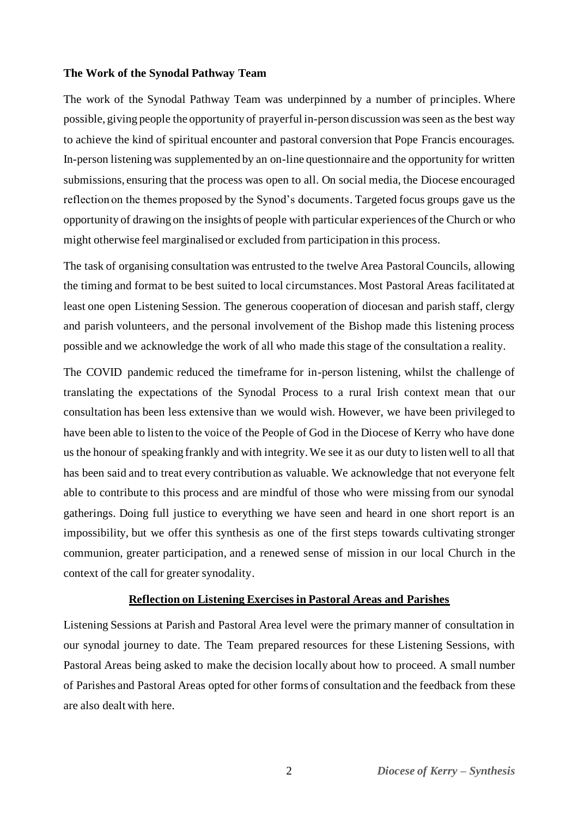#### <span id="page-4-0"></span>**The Work of the Synodal Pathway Team**

The work of the Synodal Pathway Team was underpinned by a number of principles. Where possible, giving people the opportunity of prayerful in-person discussion was seen as the best way to achieve the kind of spiritual encounter and pastoral conversion that Pope Francis encourages. In-person listening was supplemented by an on-line questionnaire and the opportunity for written submissions, ensuring that the process was open to all. On social media, the Diocese encouraged reflection on the themes proposed by the Synod's documents. Targeted focus groups gave us the opportunity of drawing on the insights of people with particular experiences of the Church or who might otherwise feel marginalised or excluded from participation in this process.

The task of organising consultation was entrusted to the twelve Area Pastoral Councils, allowing the timing and format to be best suited to local circumstances. Most Pastoral Areas facilitated at least one open Listening Session. The generous cooperation of diocesan and parish staff, clergy and parish volunteers, and the personal involvement of the Bishop made this listening process possible and we acknowledge the work of all who made this stage of the consultation a reality.

The COVID pandemic reduced the timeframe for in-person listening, whilst the challenge of translating the expectations of the Synodal Process to a rural Irish context mean that our consultation has been less extensive than we would wish. However, we have been privileged to have been able to listen to the voice of the People of God in the Diocese of Kerry who have done us the honour of speaking frankly and with integrity. We see it as our duty to listen well to all that has been said and to treat every contribution as valuable. We acknowledge that not everyone felt able to contribute to this process and are mindful of those who were missing from our synodal gatherings. Doing full justice to everything we have seen and heard in one short report is an impossibility, but we offer this synthesis as one of the first steps towards cultivating stronger communion, greater participation, and a renewed sense of mission in our local Church in the context of the call for greater synodality.

#### **Reflection on Listening Exercises in Pastoral Areas and Parishes**

<span id="page-4-1"></span>Listening Sessions at Parish and Pastoral Area level were the primary manner of consultation in our synodal journey to date. The Team prepared resources for these Listening Sessions, with Pastoral Areas being asked to make the decision locally about how to proceed. A small number of Parishes and Pastoral Areas opted for other forms of consultation and the feedback from these are also dealt with here.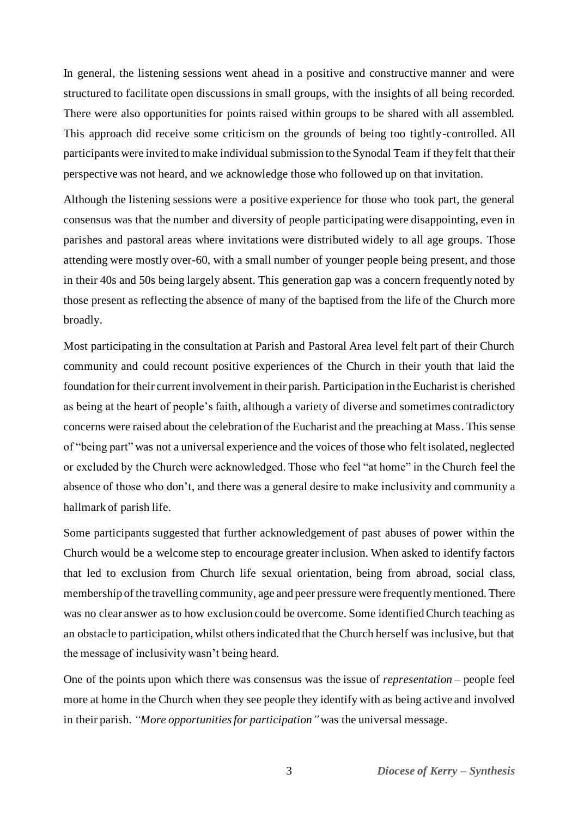In general, the listening sessions went ahead in a positive and constructive manner and were structured to facilitate open discussions in small groups, with the insights of all being recorded. There were also opportunities for points raised within groups to be shared with all assembled. This approach did receive some criticism on the grounds of being too tightly-controlled. All participants were invited to make individual submission to the Synodal Team if they felt that their perspective was not heard, and we acknowledge those who followed up on that invitation.

Although the listening sessions were a positive experience for those who took part, the general consensus was that the number and diversity of people participating were disappointing, even in parishes and pastoral areas where invitations were distributed widely to all age groups. Those attending were mostly over-60, with a small number of younger people being present, and those in their 40s and 50s being largely absent. This generation gap was a concern frequently noted by those present as reflecting the absence of many of the baptised from the life of the Church more broadly.

Most participating in the consultation at Parish and Pastoral Area level felt part of their Church community and could recount positive experiences of the Church in their youth that laid the foundation for their current involvement in their parish. Participation in the Eucharist is cherished as being at the heart of people's faith, although a variety of diverse and sometimes contradictory concerns were raised about the celebration of the Eucharist and the preaching at Mass. This sense of "being part" was not a universal experience and the voices of those who felt isolated, neglected or excluded by the Church were acknowledged. Those who feel "at home" in the Church feel the absence of those who don't, and there was a general desire to make inclusivity and community a hallmark of parish life.

Some participants suggested that further acknowledgement of past abuses of power within the Church would be a welcome step to encourage greater inclusion. When asked to identify factors that led to exclusion from Church life sexual orientation, being from abroad, social class, membership of the travelling community, age and peer pressure were frequently mentioned. There was no clear answer as to how exclusion could be overcome. Some identified Church teaching as an obstacle to participation, whilst others indicated that the Church herself was inclusive, but that the message of inclusivity wasn't being heard.

One of the points upon which there was consensus was the issue of *representation* – people feel more at home in the Church when they see people they identify with as being active and involved in their parish. *"More opportunities for participation"* was the universal message.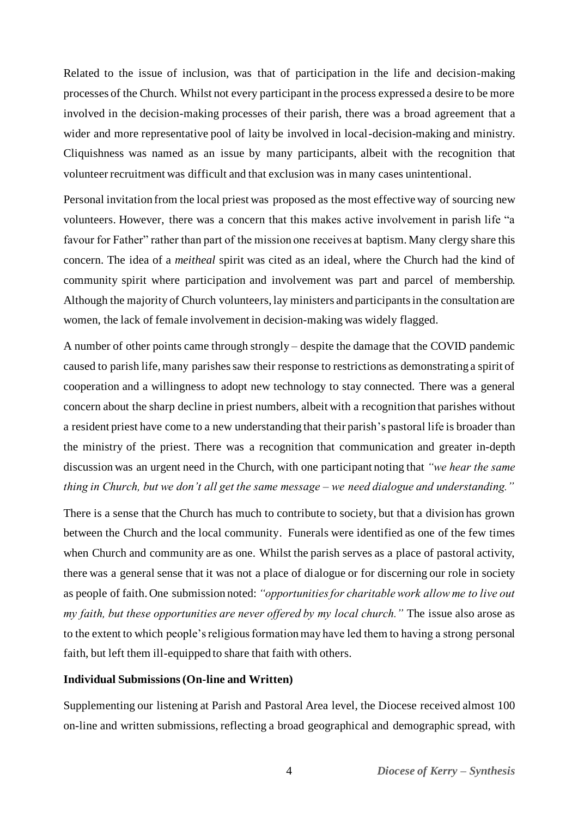Related to the issue of inclusion, was that of participation in the life and decision-making processes of the Church. Whilst not every participant in the process expressed a desire to be more involved in the decision-making processes of their parish, there was a broad agreement that a wider and more representative pool of laity be involved in local-decision-making and ministry. Cliquishness was named as an issue by many participants, albeit with the recognition that volunteer recruitment was difficult and that exclusion was in many cases unintentional.

Personal invitation from the local priest was proposed as the most effective way of sourcing new volunteers. However, there was a concern that this makes active involvement in parish life "a favour for Father" rather than part of the mission one receives at baptism. Many clergy share this concern. The idea of a *meitheal* spirit was cited as an ideal, where the Church had the kind of community spirit where participation and involvement was part and parcel of membership. Although the majority of Church volunteers, lay ministers and participants in the consultation are women, the lack of female involvement in decision-making was widely flagged.

A number of other points came through strongly – despite the damage that the COVID pandemic caused to parish life, many parishes saw their response to restrictions as demonstrating a spirit of cooperation and a willingness to adopt new technology to stay connected. There was a general concern about the sharp decline in priest numbers, albeit with a recognition that parishes without a resident priest have come to a new understanding that their parish's pastoral life is broader than the ministry of the priest. There was a recognition that communication and greater in-depth discussion was an urgent need in the Church, with one participant noting that *"we hear the same thing in Church, but we don't all get the same message – we need dialogue and understanding."*

There is a sense that the Church has much to contribute to society, but that a division has grown between the Church and the local community. Funerals were identified as one of the few times when Church and community are as one. Whilst the parish serves as a place of pastoral activity, there was a general sense that it was not a place of dialogue or for discerning our role in society as people of faith. One submission noted: *"opportunities for charitable work allow me to live out my faith, but these opportunities are never offered by my local church."* The issue also arose as to the extent to which people's religious formation may have led them to having a strong personal faith, but left them ill-equipped to share that faith with others.

#### <span id="page-6-0"></span>**Individual Submissions(On-line and Written)**

Supplementing our listening at Parish and Pastoral Area level, the Diocese received almost 100 on-line and written submissions, reflecting a broad geographical and demographic spread, with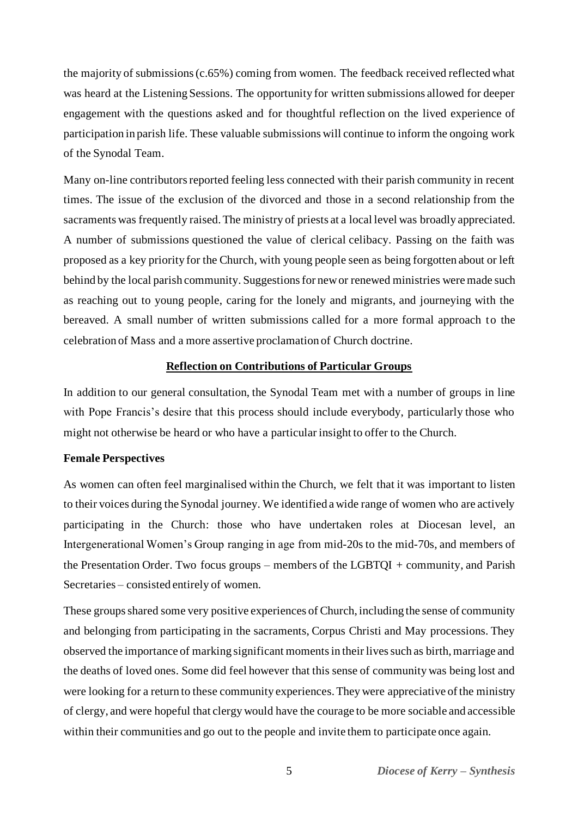the majority of submissions (c.65%) coming from women. The feedback received reflected what was heard at the Listening Sessions. The opportunity for written submissions allowed for deeper engagement with the questions asked and for thoughtful reflection on the lived experience of participation in parish life. These valuable submissions will continue to inform the ongoing work of the Synodal Team.

Many on-line contributors reported feeling less connected with their parish community in recent times. The issue of the exclusion of the divorced and those in a second relationship from the sacraments was frequently raised. The ministry of priests at a local level was broadly appreciated. A number of submissions questioned the value of clerical celibacy. Passing on the faith was proposed as a key priority for the Church, with young people seen as being forgotten about or left behind by the local parish community. Suggestions for new or renewed ministries were made such as reaching out to young people, caring for the lonely and migrants, and journeying with the bereaved. A small number of written submissions called for a more formal approach to the celebration of Mass and a more assertive proclamation of Church doctrine.

#### **Reflection on Contributions of Particular Groups**

<span id="page-7-0"></span>In addition to our general consultation, the Synodal Team met with a number of groups in line with Pope Francis's desire that this process should include everybody, particularly those who might not otherwise be heard or who have a particular insight to offer to the Church.

#### <span id="page-7-1"></span>**Female Perspectives**

As women can often feel marginalised within the Church, we felt that it was important to listen to their voices during the Synodal journey. We identified a wide range of women who are actively participating in the Church: those who have undertaken roles at Diocesan level, an Intergenerational Women's Group ranging in age from mid-20s to the mid-70s, and members of the Presentation Order. Two focus groups – members of the LGBTQI + community, and Parish Secretaries – consisted entirely of women.

These groups shared some very positive experiences of Church, including the sense of community and belonging from participating in the sacraments, Corpus Christi and May processions. They observed the importance of marking significant moments in their lives such as birth, marriage and the deaths of loved ones. Some did feel however that this sense of community was being lost and were looking for a return to these community experiences. They were appreciative of the ministry of clergy, and were hopeful that clergy would have the courage to be more sociable and accessible within their communities and go out to the people and invite them to participate once again.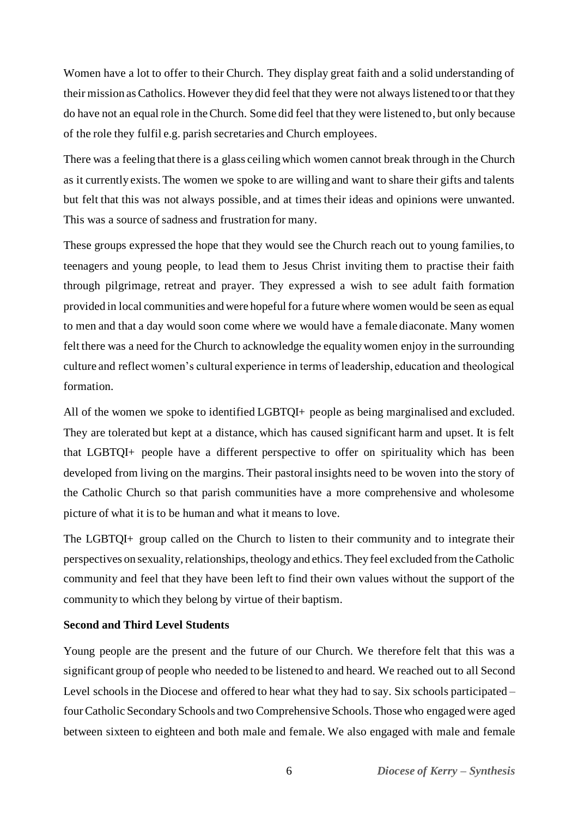Women have a lot to offer to their Church. They display great faith and a solid understanding of their mission as Catholics. However they did feel that they were not always listened to or that they do have not an equal role in the Church. Some did feel that they were listened to, but only because of the role they fulfil e.g. parish secretaries and Church employees.

There was a feeling that there is a glass ceiling which women cannot break through in the Church as it currently exists. The women we spoke to are willing and want to share their gifts and talents but felt that this was not always possible, and at times their ideas and opinions were unwanted. This was a source of sadness and frustration for many.

These groups expressed the hope that they would see the Church reach out to young families, to teenagers and young people, to lead them to Jesus Christ inviting them to practise their faith through pilgrimage, retreat and prayer. They expressed a wish to see adult faith formation provided in local communities and were hopeful for a future where women would be seen as equal to men and that a day would soon come where we would have a female diaconate. Many women felt there was a need for the Church to acknowledge the equality women enjoy in the surrounding culture and reflect women's cultural experience in terms of leadership, education and theological formation.

All of the women we spoke to identified LGBTQI+ people as being marginalised and excluded. They are tolerated but kept at a distance, which has caused significant harm and upset. It is felt that LGBTQI+ people have a different perspective to offer on spirituality which has been developed from living on the margins. Their pastoral insights need to be woven into the story of the Catholic Church so that parish communities have a more comprehensive and wholesome picture of what it is to be human and what it means to love.

The LGBTQI+ group called on the Church to listen to their community and to integrate their perspectives on sexuality, relationships, theology and ethics. They feel excluded from the Catholic community and feel that they have been left to find their own values without the support of the community to which they belong by virtue of their baptism.

#### <span id="page-8-0"></span>**Second and Third Level Students**

Young people are the present and the future of our Church. We therefore felt that this was a significant group of people who needed to be listened to and heard. We reached out to all Second Level schools in the Diocese and offered to hear what they had to say. Six schools participated – four Catholic Secondary Schools and two Comprehensive Schools. Those who engaged were aged between sixteen to eighteen and both male and female. We also engaged with male and female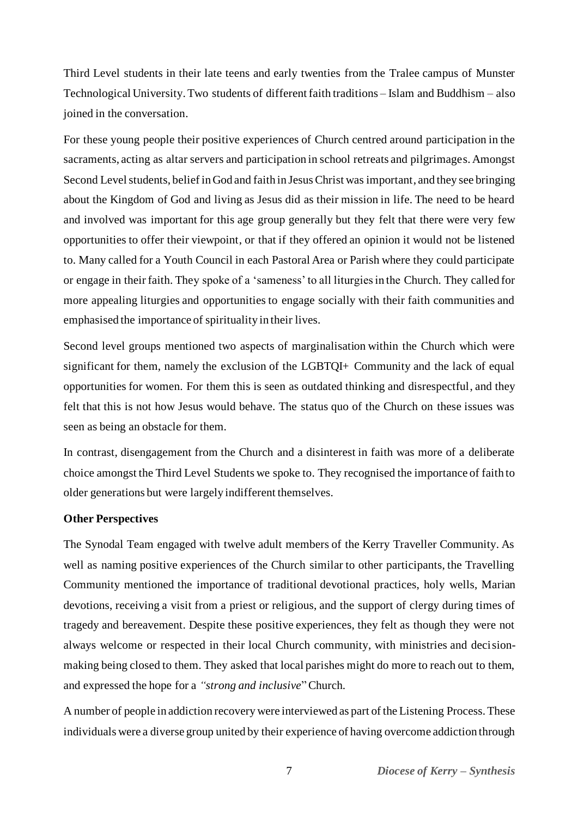Third Level students in their late teens and early twenties from the Tralee campus of Munster Technological University. Two students of different faith traditions – Islam and Buddhism – also joined in the conversation.

For these young people their positive experiences of Church centred around participation in the sacraments, acting as altar servers and participation in school retreats and pilgrimages. Amongst Second Level students, belief in God and faith in Jesus Christ was important, and they see bringing about the Kingdom of God and living as Jesus did as their mission in life. The need to be heard and involved was important for this age group generally but they felt that there were very few opportunities to offer their viewpoint, or that if they offered an opinion it would not be listened to. Many called for a Youth Council in each Pastoral Area or Parish where they could participate or engage in their faith. They spoke of a 'sameness' to all liturgies in the Church. They called for more appealing liturgies and opportunities to engage socially with their faith communities and emphasised the importance of spirituality in their lives.

Second level groups mentioned two aspects of marginalisation within the Church which were significant for them, namely the exclusion of the LGBTQI+ Community and the lack of equal opportunities for women. For them this is seen as outdated thinking and disrespectful, and they felt that this is not how Jesus would behave. The status quo of the Church on these issues was seen as being an obstacle for them.

In contrast, disengagement from the Church and a disinterest in faith was more of a deliberate choice amongst the Third Level Students we spoke to. They recognised the importance of faith to older generations but were largely indifferent themselves.

#### <span id="page-9-0"></span>**Other Perspectives**

The Synodal Team engaged with twelve adult members of the Kerry Traveller Community. As well as naming positive experiences of the Church similar to other participants, the Travelling Community mentioned the importance of traditional devotional practices, holy wells, Marian devotions, receiving a visit from a priest or religious, and the support of clergy during times of tragedy and bereavement. Despite these positive experiences, they felt as though they were not always welcome or respected in their local Church community, with ministries and decisionmaking being closed to them. They asked that local parishes might do more to reach out to them, and expressed the hope for a *"strong and inclusive*"Church*.*

A number of people in addiction recovery were interviewed as part of the Listening Process. These individuals were a diverse group united by their experience of having overcome addiction through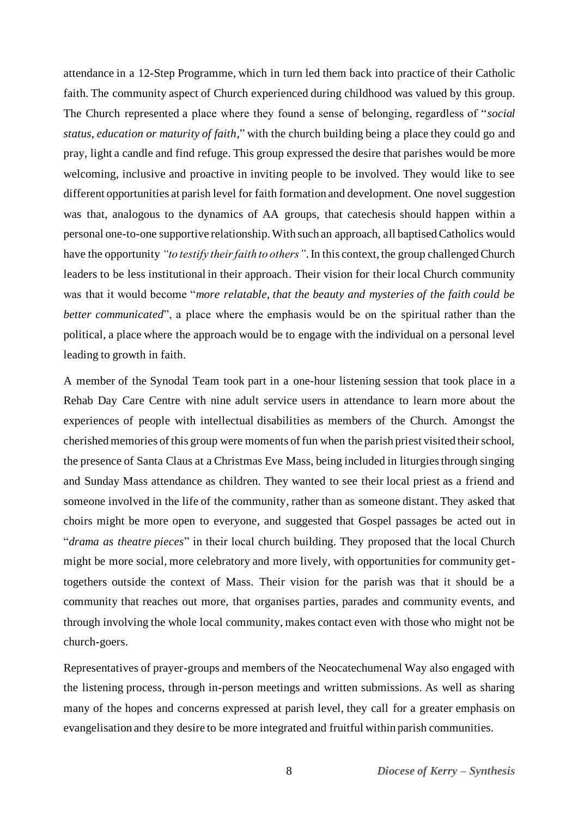attendance in a 12-Step Programme, which in turn led them back into practice of their Catholic faith. The community aspect of Church experienced during childhood was valued by this group. The Church represented a place where they found a sense of belonging, regardless of "*social status, education or maturity of faith*," with the church building being a place they could go and pray, light a candle and find refuge. This group expressed the desire that parishes would be more welcoming, inclusive and proactive in inviting people to be involved. They would like to see different opportunities at parish level for faith formation and development. One novel suggestion was that, analogous to the dynamics of AA groups, that catechesis should happen within a personal one-to-one supportive relationship. With such an approach, all baptised Catholics would have the opportunity *"to testify their faith to others"*.In this context, the group challenged Church leaders to be less institutional in their approach. Their vision for their local Church community was that it would become "*more relatable, that the beauty and mysteries of the faith could be better communicated*", a place where the emphasis would be on the spiritual rather than the political, a place where the approach would be to engage with the individual on a personal level leading to growth in faith.

A member of the Synodal Team took part in a one-hour listening session that took place in a Rehab Day Care Centre with nine adult service users in attendance to learn more about the experiences of people with intellectual disabilities as members of the Church. Amongst the cherished memories of this group were moments of fun when the parish priest visited their school, the presence of Santa Claus at a Christmas Eve Mass, being included in liturgies through singing and Sunday Mass attendance as children. They wanted to see their local priest as a friend and someone involved in the life of the community, rather than as someone distant. They asked that choirs might be more open to everyone, and suggested that Gospel passages be acted out in "*drama as theatre pieces*" in their local church building. They proposed that the local Church might be more social, more celebratory and more lively, with opportunities for community gettogethers outside the context of Mass. Their vision for the parish was that it should be a community that reaches out more, that organises parties, parades and community events, and through involving the whole local community, makes contact even with those who might not be church-goers.

Representatives of prayer-groups and members of the Neocatechumenal Way also engaged with the listening process, through in-person meetings and written submissions. As well as sharing many of the hopes and concerns expressed at parish level, they call for a greater emphasis on evangelisation and they desire to be more integrated and fruitful within parish communities.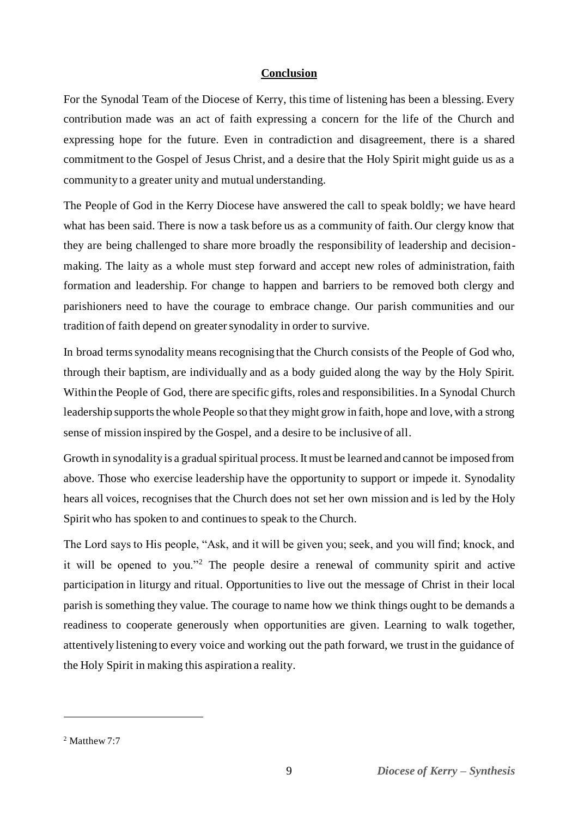#### **Conclusion**

<span id="page-11-0"></span>For the Synodal Team of the Diocese of Kerry, this time of listening has been a blessing. Every contribution made was an act of faith expressing a concern for the life of the Church and expressing hope for the future. Even in contradiction and disagreement, there is a shared commitment to the Gospel of Jesus Christ, and a desire that the Holy Spirit might guide us as a community to a greater unity and mutual understanding.

The People of God in the Kerry Diocese have answered the call to speak boldly; we have heard what has been said. There is now a task before us as a community of faith. Our clergy know that they are being challenged to share more broadly the responsibility of leadership and decisionmaking. The laity as a whole must step forward and accept new roles of administration, faith formation and leadership. For change to happen and barriers to be removed both clergy and parishioners need to have the courage to embrace change. Our parish communities and our tradition of faith depend on greater synodality in order to survive.

In broad terms synodality means recognising that the Church consists of the People of God who, through their baptism, are individually and as a body guided along the way by the Holy Spirit. Within the People of God, there are specific gifts, roles and responsibilities. In a Synodal Church leadership supports the whole People so that they might grow in faith, hope and love, with a strong sense of mission inspired by the Gospel, and a desire to be inclusive of all.

Growth in synodality is a gradual spiritual process. It must be learned and cannot be imposed from above. Those who exercise leadership have the opportunity to support or impede it. Synodality hears all voices, recognises that the Church does not set her own mission and is led by the Holy Spirit who has spoken to and continues to speak to the Church.

The Lord says to His people, "Ask, and it will be given you; seek, and you will find; knock, and it will be opened to you."<sup>2</sup> The people desire a renewal of community spirit and active participation in liturgy and ritual. Opportunities to live out the message of Christ in their local parish is something they value. The courage to name how we think things ought to be demands a readiness to cooperate generously when opportunities are given. Learning to walk together, attentively listening to every voice and working out the path forward, we trust in the guidance of the Holy Spirit in making this aspiration a reality.

<sup>2</sup> Matthew 7:7